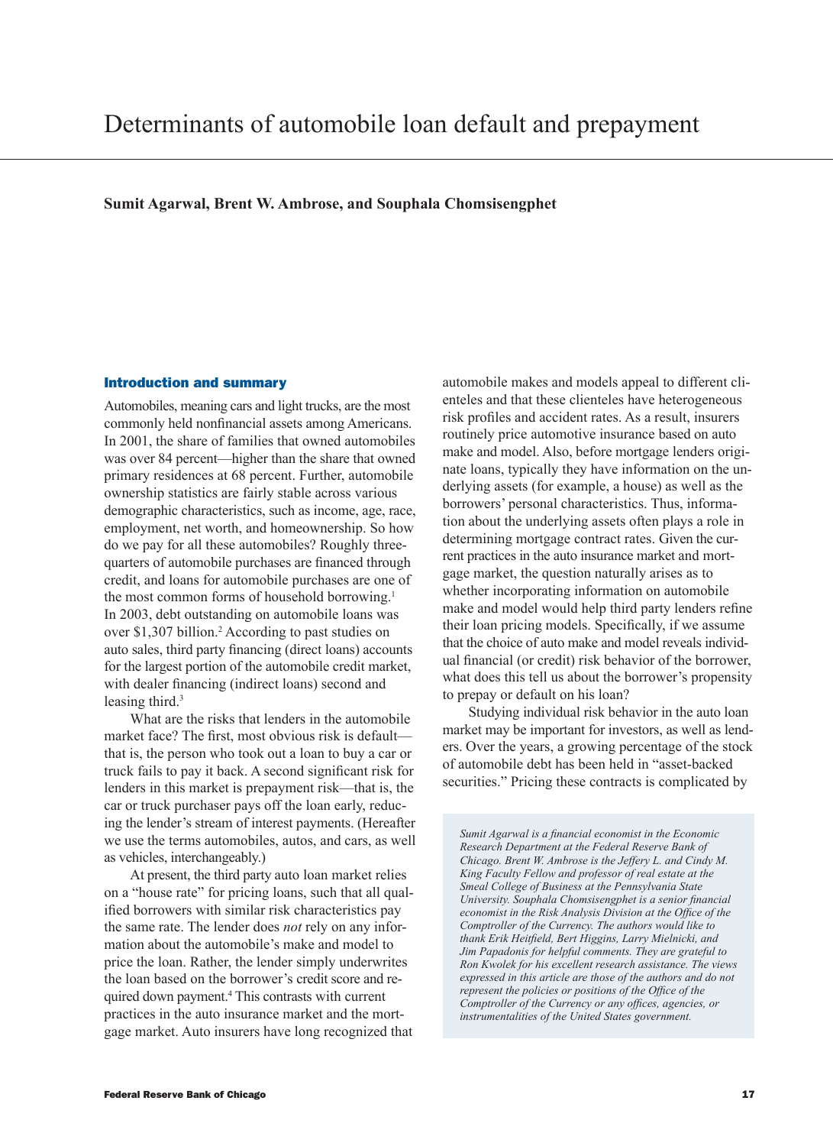**Sumit Agarwal, Brent W. Ambrose, and Souphala Chomsisengphet**

### Introduction and summary

Automobiles, meaning cars and light trucks, are the most commonly held nonfinancial assets among Americans. In 2001, the share of families that owned automobiles was over 84 percent—higher than the share that owned primary residences at 68 percent. Further, automobile ownership statistics are fairly stable across various demographic characteristics, such as income, age, race, employment, net worth, and homeownership. So how do we pay for all these automobiles? Roughly threequarters of automobile purchases are financed through credit, and loans for automobile purchases are one of the most common forms of household borrowing.<sup>1</sup> In 2003, debt outstanding on automobile loans was over \$1,307 billion.<sup>2</sup> According to past studies on auto sales, third party financing (direct loans) accounts for the largest portion of the automobile credit market, with dealer financing (indirect loans) second and leasing third.<sup>3</sup>

What are the risks that lenders in the automobile market face? The first, most obvious risk is default that is, the person who took out a loan to buy a car or truck fails to pay it back. A second significant risk for lenders in this market is prepayment risk—that is, the car or truck purchaser pays off the loan early, reducing the lender's stream of interest payments. (Hereafter we use the terms automobiles, autos, and cars, as well as vehicles, interchangeably.)

At present, the third party auto loan market relies on a "house rate" for pricing loans, such that all qualified borrowers with similar risk characteristics pay the same rate. The lender does *not* rely on any information about the automobile's make and model to price the loan. Rather, the lender simply underwrites the loan based on the borrower's credit score and required down payment.4 This contrasts with current practices in the auto insurance market and the mortgage market. Auto insurers have long recognized that

automobile makes and models appeal to different clienteles and that these clienteles have heterogeneous risk profiles and accident rates. As a result, insurers routinely price automotive insurance based on auto make and model. Also, before mortgage lenders originate loans, typically they have information on the underlying assets (for example, a house) as well as the borrowers' personal characteristics. Thus, information about the underlying assets often plays a role in determining mortgage contract rates. Given the current practices in the auto insurance market and mortgage market, the question naturally arises as to whether incorporating information on automobile make and model would help third party lenders refine their loan pricing models. Specifically, if we assume that the choice of auto make and model reveals individual financial (or credit) risk behavior of the borrower, what does this tell us about the borrower's propensity to prepay or default on his loan?

Studying individual risk behavior in the auto loan market may be important for investors, as well as lenders. Over the years, a growing percentage of the stock of automobile debt has been held in "asset-backed securities." Pricing these contracts is complicated by

*Sumit Agarwal is a financial economist in the Economic Research Department at the Federal Reserve Bank of Chicago. Brent W. Ambrose is the Jeffery L. and Cindy M. King Faculty Fellow and professor of real estate at the Smeal College of Business at the Pennsylvania State University. Souphala Chomsisengphet is a senior financial economist in the Risk Analysis Division at the Office of the Comptroller of the Currency. The authors would like to thank Erik Heitfield, Bert Higgins, Larry Mielnicki, and Jim Papadonis for helpful comments. They are grateful to Ron Kwolek for his excellent research assistance. The views expressed in this article are those of the authors and do not represent the policies or positions of the Office of the Comptroller of the Currency or any offices, agencies, or instrumentalities of the United States government.*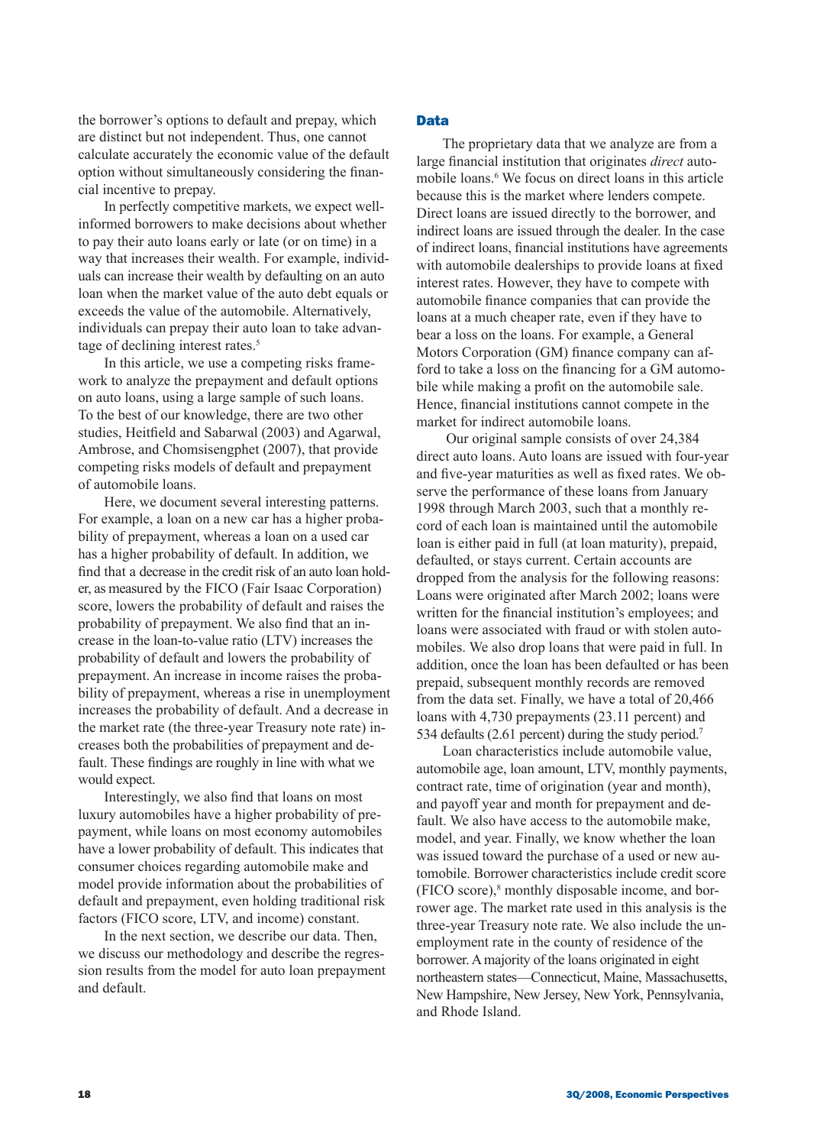the borrower's options to default and prepay, which are distinct but not independent. Thus, one cannot calculate accurately the economic value of the default option without simultaneously considering the financial incentive to prepay.

In perfectly competitive markets, we expect wellinformed borrowers to make decisions about whether to pay their auto loans early or late (or on time) in a way that increases their wealth. For example, individuals can increase their wealth by defaulting on an auto loan when the market value of the auto debt equals or exceeds the value of the automobile. Alternatively, individuals can prepay their auto loan to take advantage of declining interest rates.<sup>5</sup>

In this article, we use a competing risks framework to analyze the prepayment and default options on auto loans, using a large sample of such loans. To the best of our knowledge, there are two other studies, Heitfield and Sabarwal (2003) and Agarwal, Ambrose, and Chomsisengphet (2007), that provide competing risks models of default and prepayment of automobile loans.

Here, we document several interesting patterns. For example, a loan on a new car has a higher probability of prepayment, whereas a loan on a used car has a higher probability of default. In addition, we find that a decrease in the credit risk of an auto loan holder, as measured by the FICO (Fair Isaac Corporation) score, lowers the probability of default and raises the probability of prepayment. We also find that an increase in the loan-to-value ratio (LTV) increases the probability of default and lowers the probability of prepayment. An increase in income raises the probability of prepayment, whereas a rise in unemployment increases the probability of default. And a decrease in the market rate (the three-year Treasury note rate) increases both the probabilities of prepayment and default. These findings are roughly in line with what we would expect.

Interestingly, we also find that loans on most luxury automobiles have a higher probability of prepayment, while loans on most economy automobiles have a lower probability of default. This indicates that consumer choices regarding automobile make and model provide information about the probabilities of default and prepayment, even holding traditional risk factors (FICO score, LTV, and income) constant.

In the next section, we describe our data. Then, we discuss our methodology and describe the regression results from the model for auto loan prepayment and default.

### Data

The proprietary data that we analyze are from a large financial institution that originates *direct* automobile loans.<sup>6</sup> We focus on direct loans in this article because this is the market where lenders compete. Direct loans are issued directly to the borrower, and indirect loans are issued through the dealer. In the case of indirect loans, financial institutions have agreements with automobile dealerships to provide loans at fixed interest rates. However, they have to compete with automobile finance companies that can provide the loans at a much cheaper rate, even if they have to bear a loss on the loans. For example, a General Motors Corporation (GM) finance company can afford to take a loss on the financing for a GM automobile while making a profit on the automobile sale. Hence, financial institutions cannot compete in the market for indirect automobile loans.

 Our original sample consists of over 24,384 direct auto loans. Auto loans are issued with four-year and five-year maturities as well as fixed rates. We observe the performance of these loans from January 1998 through March 2003, such that a monthly record of each loan is maintained until the automobile loan is either paid in full (at loan maturity), prepaid, defaulted, or stays current. Certain accounts are dropped from the analysis for the following reasons: Loans were originated after March 2002; loans were written for the financial institution's employees; and loans were associated with fraud or with stolen automobiles. We also drop loans that were paid in full. In addition, once the loan has been defaulted or has been prepaid, subsequent monthly records are removed from the data set. Finally, we have a total of 20,466 loans with 4,730 prepayments (23.11 percent) and 534 defaults (2.61 percent) during the study period.<sup>7</sup>

Loan characteristics include automobile value, automobile age, loan amount, LTV, monthly payments, contract rate, time of origination (year and month), and payoff year and month for prepayment and default. We also have access to the automobile make, model, and year. Finally, we know whether the loan was issued toward the purchase of a used or new automobile. Borrower characteristics include credit score (FICO score),8 monthly disposable income, and borrower age. The market rate used in this analysis is the three-year Treasury note rate. We also include the unemployment rate in the county of residence of the borrower. A majority of the loans originated in eight northeastern states—Connecticut, Maine, Massachusetts, New Hampshire, New Jersey, New York, Pennsylvania, and Rhode Island.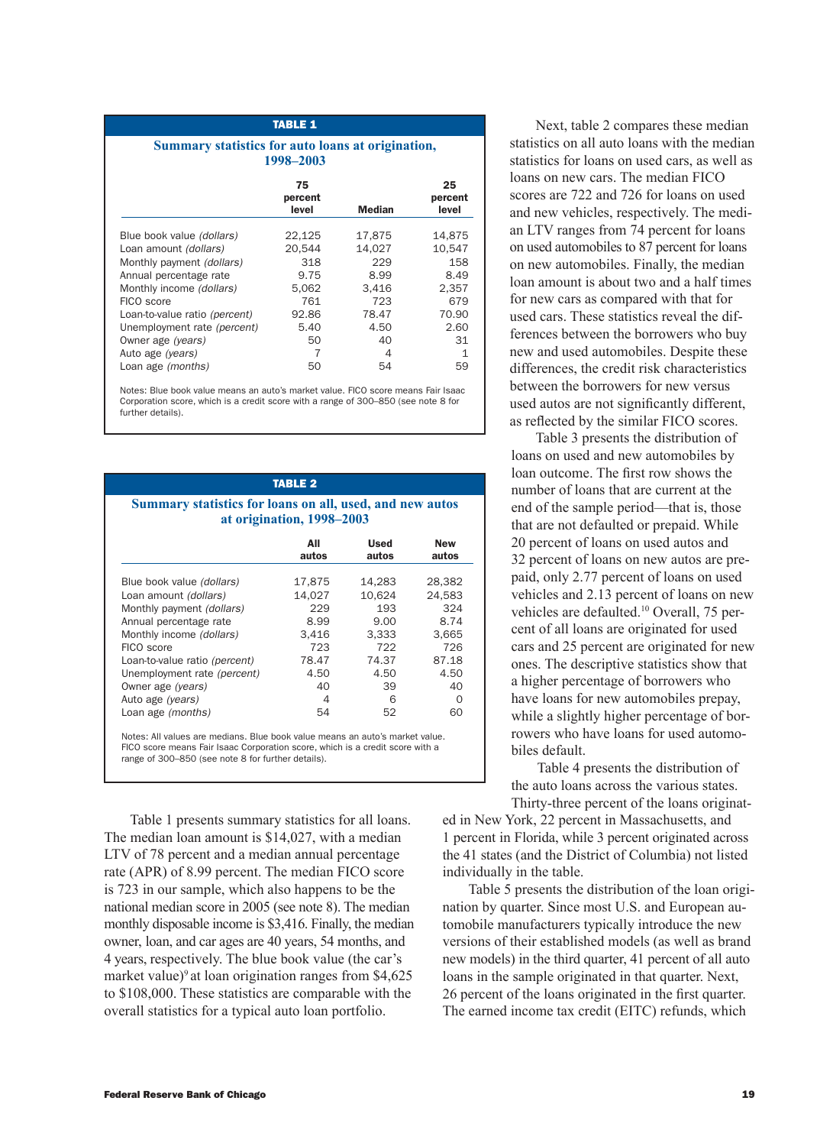## Table 1 **Summary statistics for auto loans at origination,**

**1998–2003**

|                               | 75<br>percent<br>level | Median | 25<br>percent<br>level |
|-------------------------------|------------------------|--------|------------------------|
| Blue book value (dollars)     | 22,125                 | 17,875 | 14.875                 |
| Loan amount (dollars)         | 20.544                 | 14.027 | 10.547                 |
| Monthly payment (dollars)     | 318                    | 229    | 158                    |
| Annual percentage rate        | 9.75                   | 8.99   | 8.49                   |
| Monthly income (dollars)      | 5.062                  | 3.416  | 2.357                  |
| FICO score                    | 761                    | 723    | 679                    |
| Loan-to-value ratio (percent) | 92.86                  | 78.47  | 70.90                  |
| Unemployment rate (percent)   | 5.40                   | 4.50   | 2.60                   |
| Owner age (years)             | 50                     | 40     | 31                     |
| Auto age (years)              | 7                      | 4      | 1                      |
| Loan age (months)             | 50                     | 54     | 59                     |

Notes: Blue book value means an auto's market value. FICO score means Fair Isaac Corporation score, which is a credit score with a range of 300–850 (see note 8 for further details).

| <b>TABLE 2</b><br>Summary statistics for loans on all, used, and new autos<br>at origination, 1998-2003 |              |                      |                     |  |  |
|---------------------------------------------------------------------------------------------------------|--------------|----------------------|---------------------|--|--|
|                                                                                                         | All<br>autos | <b>Used</b><br>autos | <b>New</b><br>autos |  |  |
| Blue book value (dollars)                                                                               | 17,875       | 14,283               | 28,382              |  |  |
| Loan amount (dollars)                                                                                   | 14,027       | 10.624               | 24.583              |  |  |
| Monthly payment (dollars)                                                                               | 229          | 193                  | 324                 |  |  |
| Annual percentage rate                                                                                  | 8.99         | 9.00                 | 8.74                |  |  |
| Monthly income (dollars)                                                                                | 3,416        | 3.333                | 3,665               |  |  |
| FICO score                                                                                              | 723          | 722                  | 726                 |  |  |
| Loan-to-value ratio (percent)                                                                           | 78.47        | 74.37                | 87.18               |  |  |
| Unemployment rate (percent)                                                                             | 4.50         | 4.50                 | 4.50                |  |  |
| Owner age (years)                                                                                       | 40           | 39                   | 40                  |  |  |
| Auto age (years)                                                                                        | 4            | 6                    | $\Omega$            |  |  |
| Loan age (months)                                                                                       | 54           | 52                   | 60                  |  |  |

Notes: All values are medians. Blue book value means an auto's market value. FICO score means Fair Isaac Corporation score, which is a credit score with a range of 300–850 (see note 8 for further details).

Table 1 presents summary statistics for all loans. The median loan amount is \$14,027, with a median LTV of 78 percent and a median annual percentage rate (APR) of 8.99 percent. The median FICO score is 723 in our sample, which also happens to be the national median score in 2005 (see note 8). The median monthly disposable income is \$3,416. Finally, the median owner, loan, and car ages are 40 years, 54 months, and 4 years, respectively. The blue book value (the car's market value)<sup>9</sup> at loan origination ranges from  $$4,625$ to \$108,000. These statistics are comparable with the overall statistics for a typical auto loan portfolio.

Next, table 2 compares these median statistics on all auto loans with the median statistics for loans on used cars, as well as loans on new cars. The median FICO scores are 722 and 726 for loans on used and new vehicles, respectively. The median LTV ranges from 74 percent for loans on used automobiles to 87 percent for loans on new automobiles. Finally, the median loan amount is about two and a half times for new cars as compared with that for used cars. These statistics reveal the differences between the borrowers who buy new and used automobiles. Despite these differences, the credit risk characteristics between the borrowers for new versus used autos are not significantly different, as reflected by the similar FICO scores.

Table 3 presents the distribution of loans on used and new automobiles by loan outcome. The first row shows the number of loans that are current at the end of the sample period—that is, those that are not defaulted or prepaid. While 20 percent of loans on used autos and 32 percent of loans on new autos are prepaid, only 2.77 percent of loans on used vehicles and 2.13 percent of loans on new vehicles are defaulted.<sup>10</sup> Overall, 75 percent of all loans are originated for used cars and 25 percent are originated for new ones. The descriptive statistics show that a higher percentage of borrowers who have loans for new automobiles prepay, while a slightly higher percentage of borrowers who have loans for used automobiles default.

Table 4 presents the distribution of the auto loans across the various states. Thirty-three percent of the loans originat-

ed in New York, 22 percent in Massachusetts, and 1 percent in Florida, while 3 percent originated across the 41 states (and the District of Columbia) not listed individually in the table.

Table 5 presents the distribution of the loan origination by quarter. Since most U.S. and European automobile manufacturers typically introduce the new versions of their established models (as well as brand new models) in the third quarter, 41 percent of all auto loans in the sample originated in that quarter. Next, 26 percent of the loans originated in the first quarter. The earned income tax credit (EITC) refunds, which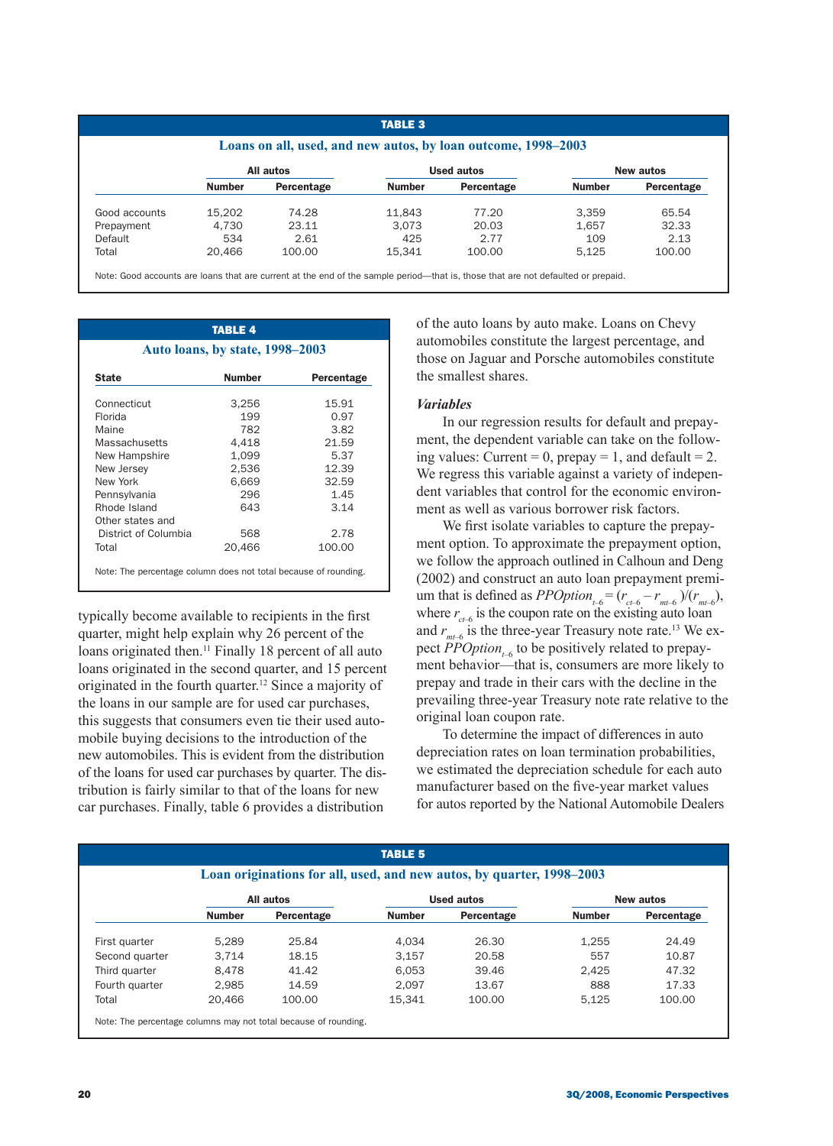## TABLE 3

### **Loans on all, used, and new autos, by loan outcome, 1998–2003**

|               |               | All autos  | <b>Used autos</b> |            |               | New autos  |
|---------------|---------------|------------|-------------------|------------|---------------|------------|
|               | <b>Number</b> | Percentage | <b>Number</b>     | Percentage | <b>Number</b> | Percentage |
| Good accounts | 15.202        | 74.28      | 11.843            | 77.20      | 3.359         | 65.54      |
| Prepayment    | 4.730         | 23.11      | 3.073             | 20.03      | 1.657         | 32.33      |
| Default       | 534           | 2.61       | 425               | 2.77       | 109           | 2.13       |
| Total         | 20.466        | 100.00     | 15.341            | 100.00     | 5.125         | 100.00     |

Note: Good accounts are loans that are current at the end of the sample period—that is, those that are not defaulted or prepaid.

## TABLE 4 **Auto loans, by state, 1998–2003** State **Number** Percentage Connecticut 3,256 15.91 Florida 199 0.97 Maine 782 3.82 Massachusetts 4,418 21.59 New Hampshire 1,099 5.37 New Jersey 2,536 12.39 New York 6,669 32.59 Pennsylvania 296 1.45 Rhode Island 643 3.14 Other states and District of Columbia 568 2.78 Total 20.466 100.00 Note: The percentage column does not total because of rounding.

typically become available to recipients in the first quarter, might help explain why 26 percent of the loans originated then.<sup>11</sup> Finally 18 percent of all auto loans originated in the second quarter, and 15 percent originated in the fourth quarter.<sup>12</sup> Since a majority of the loans in our sample are for used car purchases, this suggests that consumers even tie their used automobile buying decisions to the introduction of the new automobiles. This is evident from the distribution of the loans for used car purchases by quarter. The distribution is fairly similar to that of the loans for new car purchases. Finally, table 6 provides a distribution

of the auto loans by auto make. Loans on Chevy automobiles constitute the largest percentage, and those on Jaguar and Porsche automobiles constitute the smallest shares.

## *Variables*

In our regression results for default and prepayment, the dependent variable can take on the following values: Current = 0, prepay = 1, and default = 2. We regress this variable against a variety of independent variables that control for the economic environment as well as various borrower risk factors.

We first isolate variables to capture the prepayment option. To approximate the prepayment option, we follow the approach outlined in Calhoun and Deng (2002) and construct an auto loan prepayment premium that is defined as *PPOption*<sub>t-6</sub> =  $(r_{ct-6} - r_{mt-6})/(r_{mt-6})$ , where  $r_{ct-6}$  is the coupon rate on the existing auto loan and  $r_{m\ell}$  is the three-year Treasury note rate.<sup>13</sup> We expect  $\overline{PPOption}_{t-6}$  to be positively related to prepayment behavior—that is, consumers are more likely to prepay and trade in their cars with the decline in the prevailing three-year Treasury note rate relative to the original loan coupon rate.

To determine the impact of differences in auto depreciation rates on loan termination probabilities, we estimated the depreciation schedule for each auto manufacturer based on the five-year market values for autos reported by the National Automobile Dealers

|                |               |            | <b>TABLE 5</b> | Loan originations for all, used, and new autos, by quarter, 1998–2003 |               |            |
|----------------|---------------|------------|----------------|-----------------------------------------------------------------------|---------------|------------|
|                |               | All autos  |                | <b>Used autos</b>                                                     |               | New autos  |
|                | <b>Number</b> | Percentage | <b>Number</b>  | Percentage                                                            | <b>Number</b> | Percentage |
| First quarter  | 5.289         | 25.84      | 4.034          | 26.30                                                                 | 1.255         | 24.49      |
| Second quarter | 3.714         | 18.15      | 3.157          | 20.58                                                                 | 557           | 10.87      |
| Third quarter  | 8.478         | 41.42      | 6.053          | 39.46                                                                 | 2.425         | 47.32      |
| Fourth quarter | 2.985         | 14.59      | 2.097          | 13.67                                                                 | 888           | 17.33      |
| Total          | 20.466        | 100.00     | 15.341         | 100.00                                                                | 5.125         | 100.00     |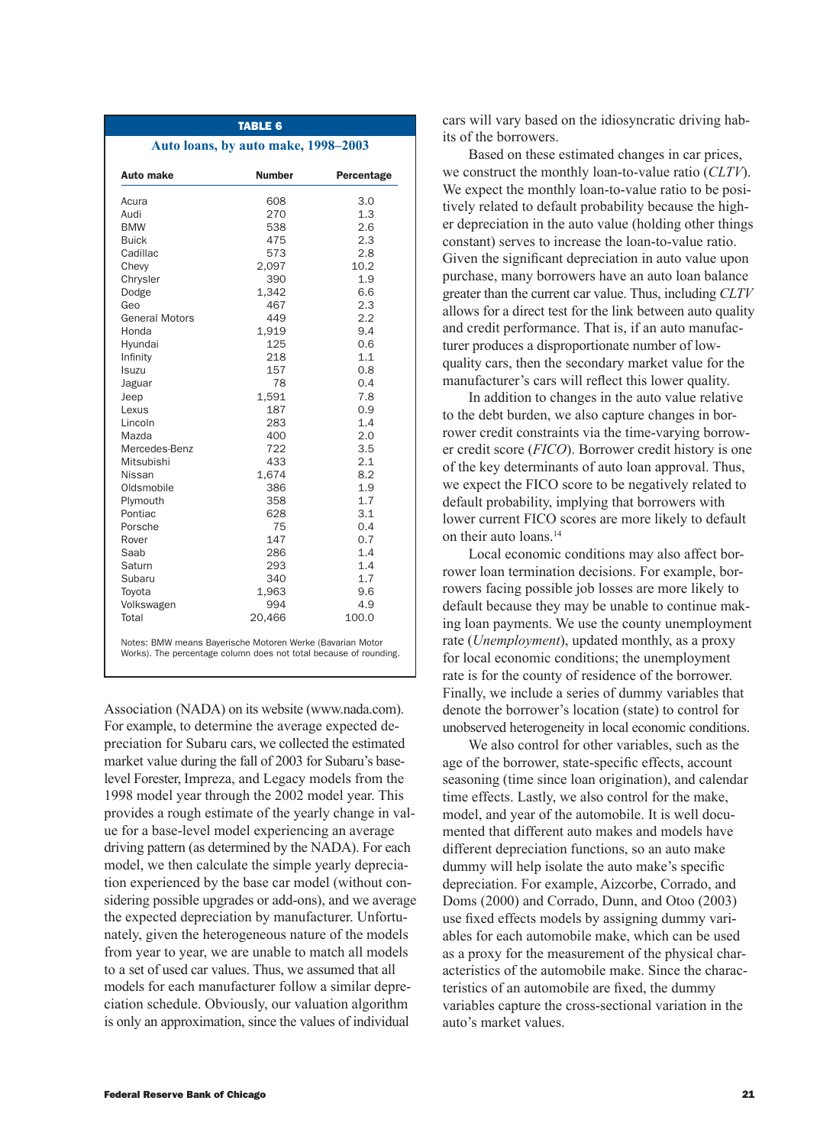| <b>Auto make</b>      | <b>Number</b> | Percentage |
|-----------------------|---------------|------------|
| Acura                 | 608           | 3.0        |
| Audi                  | 270           | 1.3        |
| <b>BMW</b>            | 538           | 2.6        |
| <b>Buick</b>          | 475           | 2.3        |
| Cadillac              | 573           | 2.8        |
| Chevy                 | 2,097         | 10.2       |
| Chrysler              | 390           | 1.9        |
| Dodge                 | 1,342         | 6.6        |
| Geo                   | 467           | 2.3        |
| <b>General Motors</b> | 449           | 2.2        |
| Honda                 | 1,919         | 9.4        |
| Hyundai               | 125           | 0.6        |
| Infinity              | 218           | 1.1        |
| Isuzu                 | 157           | 0.8        |
| Jaguar                | 78            | 0.4        |
| Jeep                  | 1,591         | 7.8        |
| Lexus                 | 187           | 0.9        |
| Lincoln               | 283           | 1.4        |
| Mazda                 | 400           | 2.0        |
| Mercedes-Benz         | 722           | 3.5        |
| Mitsubishi            | 433           | 2.1        |
| Nissan                | 1,674         | 8.2        |
| Oldsmobile            | 386           | 1.9        |
| Plymouth              | 358           | 1.7        |
| Pontiac               | 628           | 3.1        |
| Porsche               | 75            | 0.4        |
| Rover                 | 147           | 0.7        |
| Saab                  | 286           | 1.4        |
| Saturn                | 293           | 1.4        |
| Subaru                | 340           | 1.7        |
| Toyota                | 1,963         | 9.6        |
| Volkswagen            | 994           | 4.9        |
| Total                 | 20,466        | 100.0      |

Association (NADA) on its website (www.nada.com). For example, to determine the average expected depreciation for Subaru cars, we collected the estimated market value during the fall of 2003 for Subaru's baselevel Forester, Impreza, and Legacy models from the 1998 model year through the 2002 model year. This provides a rough estimate of the yearly change in value for a base-level model experiencing an average driving pattern (as determined by the NADA). For each model, we then calculate the simple yearly depreciation experienced by the base car model (without considering possible upgrades or add-ons), and we average the expected depreciation by manufacturer. Unfortunately, given the heterogeneous nature of the models from year to year, we are unable to match all models to a set of used car values. Thus, we assumed that all models for each manufacturer follow a similar depreciation schedule. Obviously, our valuation algorithm is only an approximation, since the values of individual

cars will vary based on the idiosyncratic driving habits of the borrowers.

Based on these estimated changes in car prices, we construct the monthly loan-to-value ratio (*CLTV*). We expect the monthly loan-to-value ratio to be positively related to default probability because the higher depreciation in the auto value (holding other things constant) serves to increase the loan-to-value ratio. Given the significant depreciation in auto value upon purchase, many borrowers have an auto loan balance greater than the current car value. Thus, including *CLTV* allows for a direct test for the link between auto quality and credit performance. That is, if an auto manufacturer produces a disproportionate number of lowquality cars, then the secondary market value for the manufacturer's cars will reflect this lower quality.

In addition to changes in the auto value relative to the debt burden, we also capture changes in borrower credit constraints via the time-varying borrower credit score (*FICO*). Borrower credit history is one of the key determinants of auto loan approval. Thus, we expect the FICO score to be negatively related to default probability, implying that borrowers with lower current FICO scores are more likely to default on their auto loans.14

Local economic conditions may also affect borrower loan termination decisions. For example, borrowers facing possible job losses are more likely to default because they may be unable to continue making loan payments. We use the county unemployment rate (*Unemployment*), updated monthly, as a proxy for local economic conditions; the unemployment rate is for the county of residence of the borrower. Finally, we include a series of dummy variables that denote the borrower's location (state) to control for unobserved heterogeneity in local economic conditions.

We also control for other variables, such as the age of the borrower, state-specific effects, account seasoning (time since loan origination), and calendar time effects. Lastly, we also control for the make, model, and year of the automobile. It is well documented that different auto makes and models have different depreciation functions, so an auto make dummy will help isolate the auto make's specific depreciation. For example, Aizcorbe, Corrado, and Doms (2000) and Corrado, Dunn, and Otoo (2003) use fixed effects models by assigning dummy variables for each automobile make, which can be used as a proxy for the measurement of the physical characteristics of the automobile make. Since the characteristics of an automobile are fixed, the dummy variables capture the cross-sectional variation in the auto's market values.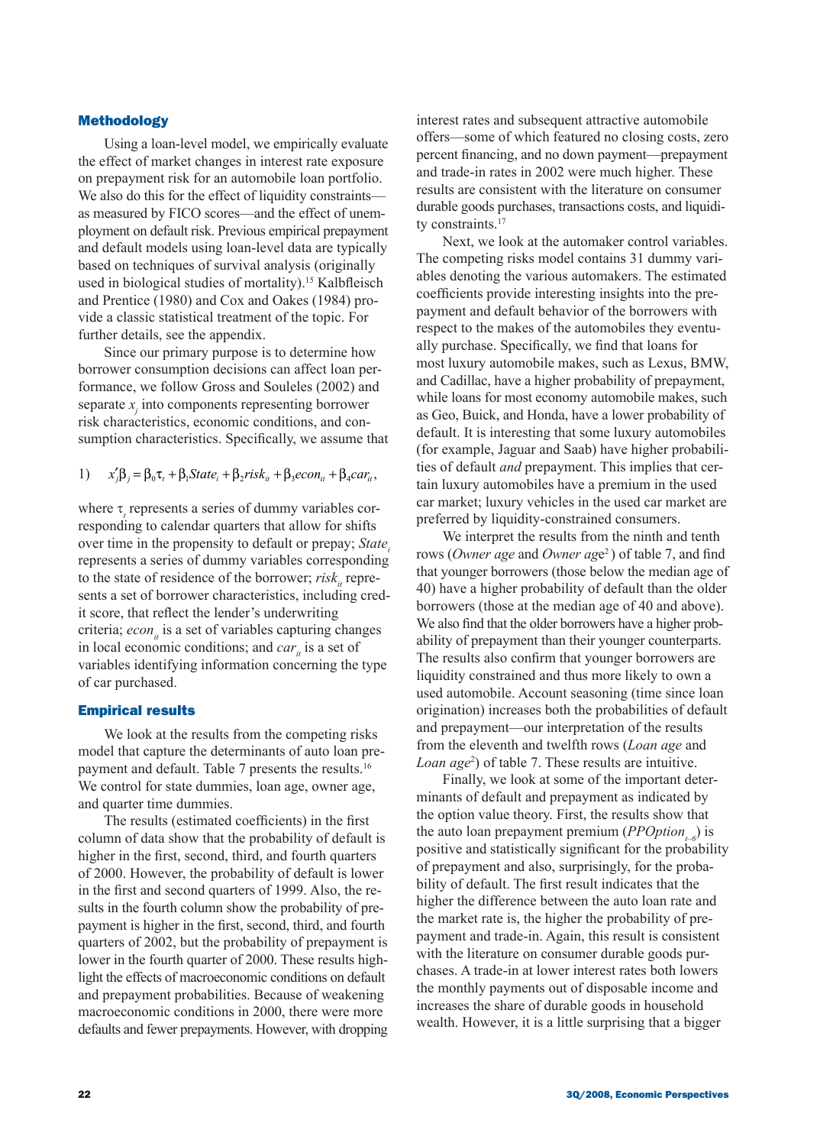### Methodology

Using a loan-level model, we empirically evaluate the effect of market changes in interest rate exposure on prepayment risk for an automobile loan portfolio. We also do this for the effect of liquidity constraints as measured by FICO scores—and the effect of unemployment on default risk. Previous empirical prepayment and default models using loan-level data are typically based on techniques of survival analysis (originally used in biological studies of mortality).<sup>15</sup> Kalbfleisch and Prentice (1980) and Cox and Oakes (1984) provide a classic statistical treatment of the topic. For further details, see the appendix.

Since our primary purpose is to determine how borrower consumption decisions can affect loan performance, we follow Gross and Souleles (2002) and separate *x<sup>j</sup>* into components representing borrower risk characteristics, economic conditions, and consumption characteristics. Specifically, we assume that

1)  $x'_i\beta_i = \beta_0 \tau_i + \beta_1 State_i + \beta_2 risk_{i} + \beta_3 econ_{i} + \beta_4 car_{i}$ 

where τ<sub>*t*</sub> represents a series of dummy variables corresponding to calendar quarters that allow for shifts over time in the propensity to default or prepay; *State<sup>i</sup>* represents a series of dummy variables corresponding to the state of residence of the borrower; *risk*<sub>*i*</sub> represents a set of borrower characteristics, including credit score, that reflect the lender's underwriting criteria; *econ*<sub>*i*</sub> is a set of variables capturing changes in local economic conditions; and *car*<sub>*i*</sub> is a set of variables identifying information concerning the type of car purchased.

### Empirical results

We look at the results from the competing risks model that capture the determinants of auto loan prepayment and default. Table 7 presents the results.<sup>16</sup> We control for state dummies, loan age, owner age, and quarter time dummies.

The results (estimated coefficients) in the first column of data show that the probability of default is higher in the first, second, third, and fourth quarters of 2000. However, the probability of default is lower in the first and second quarters of 1999. Also, the results in the fourth column show the probability of prepayment is higher in the first, second, third, and fourth quarters of 2002, but the probability of prepayment is lower in the fourth quarter of 2000. These results highlight the effects of macroeconomic conditions on default and prepayment probabilities. Because of weakening macroeconomic conditions in 2000, there were more defaults and fewer prepayments. However, with dropping interest rates and subsequent attractive automobile offers—some of which featured no closing costs, zero percent financing, and no down payment—prepayment and trade-in rates in 2002 were much higher. These results are consistent with the literature on consumer durable goods purchases, transactions costs, and liquidity constraints.<sup>17</sup>

Next, we look at the automaker control variables. The competing risks model contains 31 dummy variables denoting the various automakers. The estimated coefficients provide interesting insights into the prepayment and default behavior of the borrowers with respect to the makes of the automobiles they eventually purchase. Specifically, we find that loans for most luxury automobile makes, such as Lexus, BMW, and Cadillac, have a higher probability of prepayment, while loans for most economy automobile makes, such as Geo, Buick, and Honda, have a lower probability of default. It is interesting that some luxury automobiles (for example, Jaguar and Saab) have higher probabilities of default *and* prepayment. This implies that certain luxury automobiles have a premium in the used car market; luxury vehicles in the used car market are preferred by liquidity-constrained consumers.

We interpret the results from the ninth and tenth rows (*Owner age* and *Owner age*<sup>2</sup>) of table 7, and find that younger borrowers (those below the median age of 40) have a higher probability of default than the older borrowers (those at the median age of 40 and above). We also find that the older borrowers have a higher probability of prepayment than their younger counterparts. The results also confirm that younger borrowers are liquidity constrained and thus more likely to own a used automobile. Account seasoning (time since loan origination) increases both the probabilities of default and prepayment—our interpretation of the results from the eleventh and twelfth rows (*Loan age* and *Loan age*<sup>2</sup> ) of table 7. These results are intuitive.

Finally, we look at some of the important determinants of default and prepayment as indicated by the option value theory. First, the results show that the auto loan prepayment premium (*PPOptiont–6*) is positive and statistically significant for the probability of prepayment and also, surprisingly, for the probability of default. The first result indicates that the higher the difference between the auto loan rate and the market rate is, the higher the probability of prepayment and trade-in. Again, this result is consistent with the literature on consumer durable goods purchases. A trade-in at lower interest rates both lowers the monthly payments out of disposable income and increases the share of durable goods in household wealth. However, it is a little surprising that a bigger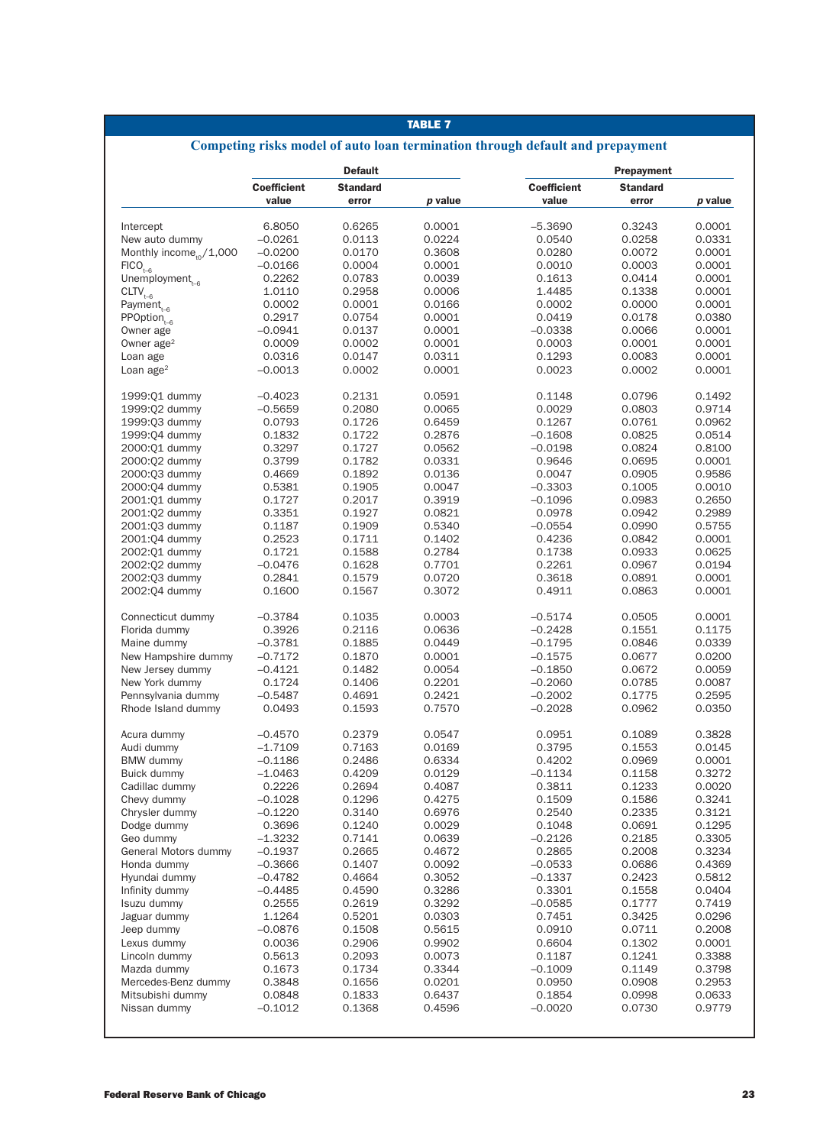## TABLE 7

# **Competing risks model of auto loan termination through default and prepayment**

|                                     | <b>Default</b>     |                  |                  | Prepayment          |                  |                  |  |
|-------------------------------------|--------------------|------------------|------------------|---------------------|------------------|------------------|--|
|                                     | <b>Coefficient</b> | <b>Standard</b>  |                  | <b>Coefficient</b>  | <b>Standard</b>  |                  |  |
|                                     | value              | error            | p value          | value               | error            | p value          |  |
| Intercept                           | 6.8050             | 0.6265           | 0.0001           | $-5.3690$           | 0.3243           | 0.0001           |  |
| New auto dummy                      | $-0.0261$          | 0.0113           | 0.0224           | 0.0540              | 0.0258           | 0.0331           |  |
| Monthly income <sub>to</sub> /1,000 | $-0.0200$          | 0.0170           | 0.3608           | 0.0280              | 0.0072           | 0.0001           |  |
| $FICO_{t-6}$                        | $-0.0166$          | 0.0004           | 0.0001           | 0.0010              | 0.0003           | 0.0001           |  |
| Unemployment $_{t=6}$               | 0.2262             | 0.0783           | 0.0039           | 0.1613              | 0.0414           | 0.0001           |  |
|                                     |                    | 0.2958           |                  | 1.4485              | 0.1338           | 0.0001           |  |
| $CLTV_{t-6}$                        | 1.0110             |                  | 0.0006           |                     |                  |                  |  |
| Payment $_{t-6}$                    | 0.0002             | 0.0001           | 0.0166           | 0.0002              | 0.0000           | 0.0001           |  |
| $PPOption_{t-6}$                    | 0.2917             | 0.0754           | 0.0001           | 0.0419              | 0.0178           | 0.0380           |  |
| Owner age                           | -0.0941            | 0.0137           | 0.0001           | $-0.0338$           | 0.0066           | 0.0001           |  |
| Owner $age2$                        | 0.0009             | 0.0002           | 0.0001           | 0.0003              | 0.0001           | 0.0001           |  |
| Loan age                            | 0.0316             | 0.0147           | 0.0311           | 0.1293              | 0.0083           | 0.0001           |  |
| Loan age $2$                        | $-0.0013$          | 0.0002           | 0.0001           | 0.0023              | 0.0002           | 0.0001           |  |
| 1999:01 dummy                       | $-0.4023$          | 0.2131           | 0.0591           | 0.1148              | 0.0796           | 0.1492           |  |
| 1999:02 dummy                       | $-0.5659$          | 0.2080           | 0.0065           | 0.0029              | 0.0803           | 0.9714           |  |
| 1999:03 dummy                       | 0.0793             | 0.1726           | 0.6459           | 0.1267              | 0.0761           | 0.0962           |  |
| 1999:04 dummy                       | 0.1832             | 0.1722           | 0.2876           | $-0.1608$           | 0.0825           | 0.0514           |  |
| 2000:01 dummy                       | 0.3297             | 0.1727           | 0.0562           | $-0.0198$           | 0.0824           | 0.8100           |  |
| 2000:02 dummy                       | 0.3799             | 0.1782           | 0.0331           | 0.9646              | 0.0695           | 0.0001           |  |
| 2000:03 dummy                       | 0.4669             | 0.1892           | 0.0136           | 0.0047              | 0.0905           | 0.9586           |  |
| 2000:04 dummy                       | 0.5381             | 0.1905           | 0.0047           | $-0.3303$           | 0.1005           | 0.0010           |  |
|                                     | 0.1727             | 0.2017           |                  |                     |                  |                  |  |
| 2001:01 dummy                       |                    |                  | 0.3919           | $-0.1096$           | 0.0983           | 0.2650           |  |
| 2001:02 dummy                       | 0.3351             | 0.1927           | 0.0821           | 0.0978              | 0.0942           | 0.2989           |  |
| 2001:03 dummy                       | 0.1187             | 0.1909           | 0.5340           | $-0.0554$           | 0.0990           | 0.5755           |  |
| 2001:04 dummy                       | 0.2523             | 0.1711           | 0.1402           | 0.4236              | 0.0842           | 0.0001           |  |
| 2002:01 dummy                       | 0.1721             | 0.1588           | 0.2784           | 0.1738              | 0.0933           | 0.0625           |  |
| 2002:02 dummy                       | $-0.0476$          | 0.1628           | 0.7701           | 0.2261              | 0.0967           | 0.0194           |  |
| 2002:03 dummy                       | 0.2841             | 0.1579           | 0.0720           | 0.3618              | 0.0891           | 0.0001           |  |
| 2002:04 dummy                       | 0.1600             | 0.1567           | 0.3072           | 0.4911              | 0.0863           | 0.0001           |  |
| Connecticut dummy                   | $-0.3784$          | 0.1035           | 0.0003           | $-0.5174$           | 0.0505           | 0.0001           |  |
| Florida dummy                       | 0.3926             | 0.2116           | 0.0636           | $-0.2428$           | 0.1551           | 0.1175           |  |
| Maine dummy                         | $-0.3781$          | 0.1885           | 0.0449           | $-0.1795$           | 0.0846           | 0.0339           |  |
| New Hampshire dummy                 | $-0.7172$          | 0.1870           | 0.0001           | $-0.1575$           | 0.0677           | 0.0200           |  |
| New Jersey dummy                    | $-0.4121$          | 0.1482           | 0.0054           | $-0.1850$           | 0.0672           | 0.0059           |  |
| New York dummy                      | 0.1724             | 0.1406           | 0.2201           | $-0.2060$           | 0.0785           | 0.0087           |  |
| Pennsylvania dummy                  | $-0.5487$          | 0.4691           | 0.2421           | $-0.2002$           | 0.1775           | 0.2595           |  |
| Rhode Island dummy                  | 0.0493             | 0.1593           | 0.7570           | $-0.2028$           | 0.0962           | 0.0350           |  |
|                                     |                    |                  |                  |                     |                  |                  |  |
| Acura dummy                         | $-0.4570$          | 0.2379           | 0.0547           | 0.0951              | 0.1089           | 0.3828           |  |
| Audi dummy                          | $-1.7109$          | 0.7163           | 0.0169           | 0.3795              | 0.1553           | 0.0145           |  |
| <b>BMW</b> dummy                    | $-0.1186$          | 0.2486           | 0.6334           | 0.4202              | 0.0969           | 0.0001           |  |
| Buick dummy                         | $-1.0463$          | 0.4209           | 0.0129           | $-0.1134$           | 0.1158           | 0.3272           |  |
| Cadillac dummy                      | 0.2226             | 0.2694           | 0.4087           | 0.3811              | 0.1233           | 0.0020           |  |
| Chevy dummy                         | $-0.1028$          | 0.1296           | 0.4275           | 0.1509              | 0.1586           | 0.3241           |  |
| Chrysler dummy                      | $-0.1220$          | 0.3140           | 0.6976           | 0.2540              | 0.2335           | 0.3121           |  |
| Dodge dummy                         | 0.3696             | 0.1240           | 0.0029           | 0.1048              | 0.0691           | 0.1295           |  |
| Geo dummy                           | $-1.3232$          | 0.7141           | 0.0639           | $-0.2126$           | 0.2185           | 0.3305           |  |
| General Motors dummy                | $-0.1937$          | 0.2665           | 0.4672           | 0.2865              | 0.2008           | 0.3234           |  |
| Honda dummy                         | $-0.3666$          | 0.1407           | 0.0092           | $-0.0533$           | 0.0686           | 0.4369           |  |
| Hyundai dummy                       | $-0.4782$          | 0.4664           | 0.3052           | $-0.1337$           | 0.2423           | 0.5812           |  |
| Infinity dummy                      | $-0.4485$          | 0.4590           | 0.3286           | 0.3301              | 0.1558           | 0.0404           |  |
| Isuzu dummy                         | 0.2555             | 0.2619           | 0.3292           | $-0.0585$           | 0.1777           | 0.7419           |  |
| Jaguar dummy                        | 1.1264             | 0.5201           | 0.0303           | 0.7451              | 0.3425           | 0.0296           |  |
| Jeep dummy                          | $-0.0876$          | 0.1508           | 0.5615           | 0.0910              | 0.0711           | 0.2008           |  |
| Lexus dummy                         | 0.0036             | 0.2906           | 0.9902           | 0.6604              | 0.1302           | 0.0001           |  |
| Lincoln dummy                       | 0.5613             | 0.2093           | 0.0073           | 0.1187              | 0.1241           | 0.3388           |  |
|                                     |                    |                  |                  |                     |                  |                  |  |
| Mazda dummy                         | 0.1673             | 0.1734           | 0.3344           | $-0.1009$           | 0.1149           | 0.3798           |  |
|                                     |                    |                  |                  |                     |                  |                  |  |
| Mercedes-Benz dummy                 | 0.3848             | 0.1656           | 0.0201           | 0.0950              | 0.0908           | 0.2953           |  |
| Mitsubishi dummy<br>Nissan dummy    | 0.0848<br>-0.1012  | 0.1833<br>0.1368 | 0.6437<br>0.4596 | 0.1854<br>$-0.0020$ | 0.0998<br>0.0730 | 0.0633<br>0.9779 |  |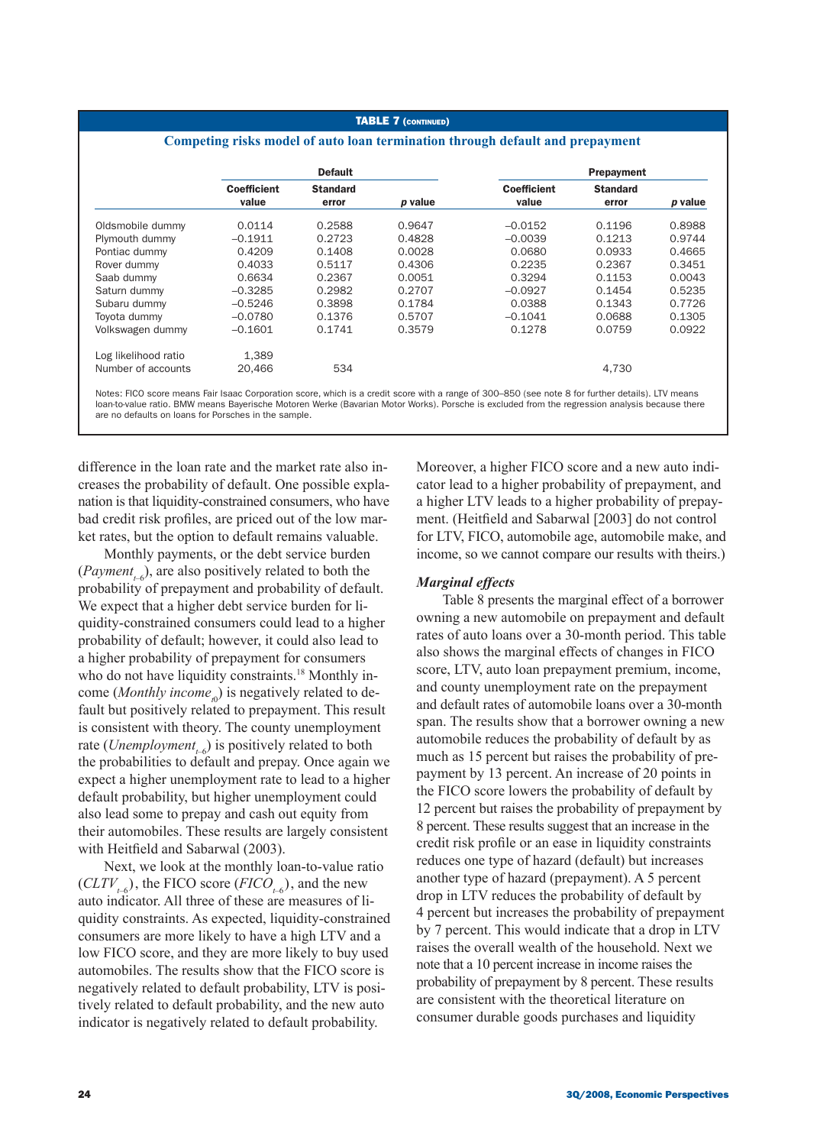#### TABLE 7 (CONTINUED)

### **Competing risks model of auto loan termination through default and prepayment**

|                      | <b>Default</b>              |                          |         |                             | Prepayment               |         |
|----------------------|-----------------------------|--------------------------|---------|-----------------------------|--------------------------|---------|
|                      | <b>Coefficient</b><br>value | <b>Standard</b><br>error | p value | <b>Coefficient</b><br>value | <b>Standard</b><br>error | p value |
| Oldsmobile dummy     | 0.0114                      | 0.2588                   | 0.9647  | $-0.0152$                   | 0.1196                   | 0.8988  |
| Plymouth dummy       | $-0.1911$                   | 0.2723                   | 0.4828  | $-0.0039$                   | 0.1213                   | 0.9744  |
| Pontiac dummy        | 0.4209                      | 0.1408                   | 0.0028  | 0.0680                      | 0.0933                   | 0.4665  |
| Rover dummy          | 0.4033                      | 0.5117                   | 0.4306  | 0.2235                      | 0.2367                   | 0.3451  |
| Saab dummy           | 0.6634                      | 0.2367                   | 0.0051  | 0.3294                      | 0.1153                   | 0.0043  |
| Saturn dummy         | $-0.3285$                   | 0.2982                   | 0.2707  | $-0.0927$                   | 0.1454                   | 0.5235  |
| Subaru dummy         | $-0.5246$                   | 0.3898                   | 0.1784  | 0.0388                      | 0.1343                   | 0.7726  |
| Tovota dummy         | $-0.0780$                   | 0.1376                   | 0.5707  | $-0.1041$                   | 0.0688                   | 0.1305  |
| Volkswagen dummy     | $-0.1601$                   | 0.1741                   | 0.3579  | 0.1278                      | 0.0759                   | 0.0922  |
| Log likelihood ratio | 1.389                       |                          |         |                             |                          |         |
| Number of accounts   | 20.466                      | 534                      |         |                             | 4.730                    |         |

Notes: FICO score means Fair Isaac Corporation score, which is a credit score with a range of 300–850 (see note 8 for further details). LTV means loan-to-value ratio. BMW means Bayerische Motoren Werke (Bavarian Motor Works). Porsche is excluded from the regression analysis because there are no defaults on loans for Porsches in the sample.

difference in the loan rate and the market rate also increases the probability of default. One possible explanation is that liquidity-constrained consumers, who have bad credit risk profiles, are priced out of the low market rates, but the option to default remains valuable.

Monthly payments, or the debt service burden  $(Payment<sub>t-6</sub>)$ , are also positively related to both the probability of prepayment and probability of default. We expect that a higher debt service burden for liquidity-constrained consumers could lead to a higher probability of default; however, it could also lead to a higher probability of prepayment for consumers who do not have liquidity constraints.<sup>18</sup> Monthly income (*Monthly income*<sub>*t*0</sub>) is negatively related to default but positively related to prepayment. This result is consistent with theory. The county unemployment rate (*Unemployment<sub>t-6</sub>*) is positively related to both the probabilities to default and prepay. Once again we expect a higher unemployment rate to lead to a higher default probability, but higher unemployment could also lead some to prepay and cash out equity from their automobiles. These results are largely consistent with Heitfield and Sabarwal (2003).

Next, we look at the monthly loan-to-value ratio  $(CLTV_{\text{ref}})$ , the FICO score (*FICO*<sub>*t<sub>+6</sub>*), and the new</sub> auto indicator. All three of these are measures of liquidity constraints. As expected, liquidity-constrained consumers are more likely to have a high LTV and a low FICO score, and they are more likely to buy used automobiles. The results show that the FICO score is negatively related to default probability, LTV is positively related to default probability, and the new auto indicator is negatively related to default probability.

Moreover, a higher FICO score and a new auto indicator lead to a higher probability of prepayment, and a higher LTV leads to a higher probability of prepayment. (Heitfield and Sabarwal [2003] do not control for LTV, FICO, automobile age, automobile make, and income, so we cannot compare our results with theirs.)

### *Marginal effects*

Table 8 presents the marginal effect of a borrower owning a new automobile on prepayment and default rates of auto loans over a 30-month period. This table also shows the marginal effects of changes in FICO score, LTV, auto loan prepayment premium, income, and county unemployment rate on the prepayment and default rates of automobile loans over a 30-month span. The results show that a borrower owning a new automobile reduces the probability of default by as much as 15 percent but raises the probability of prepayment by 13 percent. An increase of 20 points in the FICO score lowers the probability of default by 12 percent but raises the probability of prepayment by 8 percent. These results suggest that an increase in the credit risk profile or an ease in liquidity constraints reduces one type of hazard (default) but increases another type of hazard (prepayment). A 5 percent drop in LTV reduces the probability of default by 4 percent but increases the probability of prepayment by 7 percent. This would indicate that a drop in LTV raises the overall wealth of the household. Next we note that a 10 percent increase in income raises the probability of prepayment by 8 percent. These results are consistent with the theoretical literature on consumer durable goods purchases and liquidity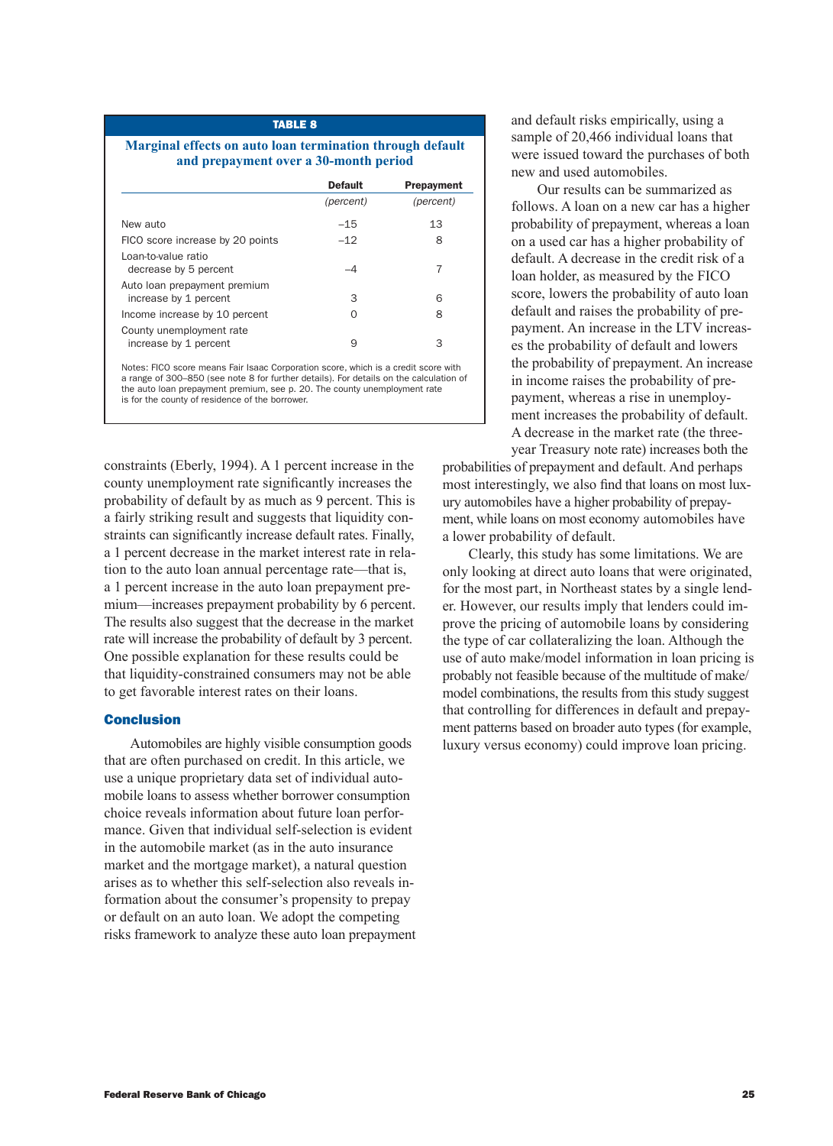| <b>TABLE 8</b>                                            |
|-----------------------------------------------------------|
| Marginal effects on auto loan termination through default |
| and prepayment over a 30-month period                     |

|                                                       | <b>Default</b> | <b>Prepayment</b> |
|-------------------------------------------------------|----------------|-------------------|
|                                                       | (percent)      | (percent)         |
| New auto                                              | $-15$          | 13                |
| FICO score increase by 20 points                      | $-12$          | 8                 |
| Loan-to-value ratio<br>decrease by 5 percent          |                |                   |
| Auto loan prepayment premium<br>increase by 1 percent | 3              | 6                 |
| Income increase by 10 percent                         | O              | 8                 |
| County unemployment rate<br>increase by 1 percent     | 9              | З                 |

Notes: FICO score means Fair Isaac Corporation score, which is a credit score with a range of 300–850 (see note 8 for further details). For details on the calculation of the auto loan prepayment premium, see p. 20. The county unemployment rate is for the county of residence of the borrower.

constraints (Eberly, 1994). A 1 percent increase in the county unemployment rate significantly increases the probability of default by as much as 9 percent. This is a fairly striking result and suggests that liquidity constraints can significantly increase default rates. Finally, a 1 percent decrease in the market interest rate in relation to the auto loan annual percentage rate—that is, a 1 percent increase in the auto loan prepayment premium—increases prepayment probability by 6 percent. The results also suggest that the decrease in the market rate will increase the probability of default by 3 percent. One possible explanation for these results could be that liquidity-constrained consumers may not be able to get favorable interest rates on their loans.

### Conclusion

Automobiles are highly visible consumption goods that are often purchased on credit. In this article, we use a unique proprietary data set of individual automobile loans to assess whether borrower consumption choice reveals information about future loan performance. Given that individual self-selection is evident in the automobile market (as in the auto insurance market and the mortgage market), a natural question arises as to whether this self-selection also reveals information about the consumer's propensity to prepay or default on an auto loan. We adopt the competing risks framework to analyze these auto loan prepayment and default risks empirically, using a sample of 20,466 individual loans that were issued toward the purchases of both new and used automobiles.

Our results can be summarized as follows. A loan on a new car has a higher probability of prepayment, whereas a loan on a used car has a higher probability of default. A decrease in the credit risk of a loan holder, as measured by the FICO score, lowers the probability of auto loan default and raises the probability of prepayment. An increase in the LTV increases the probability of default and lowers the probability of prepayment. An increase in income raises the probability of prepayment, whereas a rise in unemployment increases the probability of default. A decrease in the market rate (the threeyear Treasury note rate) increases both the

probabilities of prepayment and default. And perhaps most interestingly, we also find that loans on most luxury automobiles have a higher probability of prepayment, while loans on most economy automobiles have a lower probability of default.

Clearly, this study has some limitations. We are only looking at direct auto loans that were originated, for the most part, in Northeast states by a single lender. However, our results imply that lenders could improve the pricing of automobile loans by considering the type of car collateralizing the loan. Although the use of auto make/model information in loan pricing is probably not feasible because of the multitude of make/ model combinations, the results from this study suggest that controlling for differences in default and prepayment patterns based on broader auto types (for example, luxury versus economy) could improve loan pricing.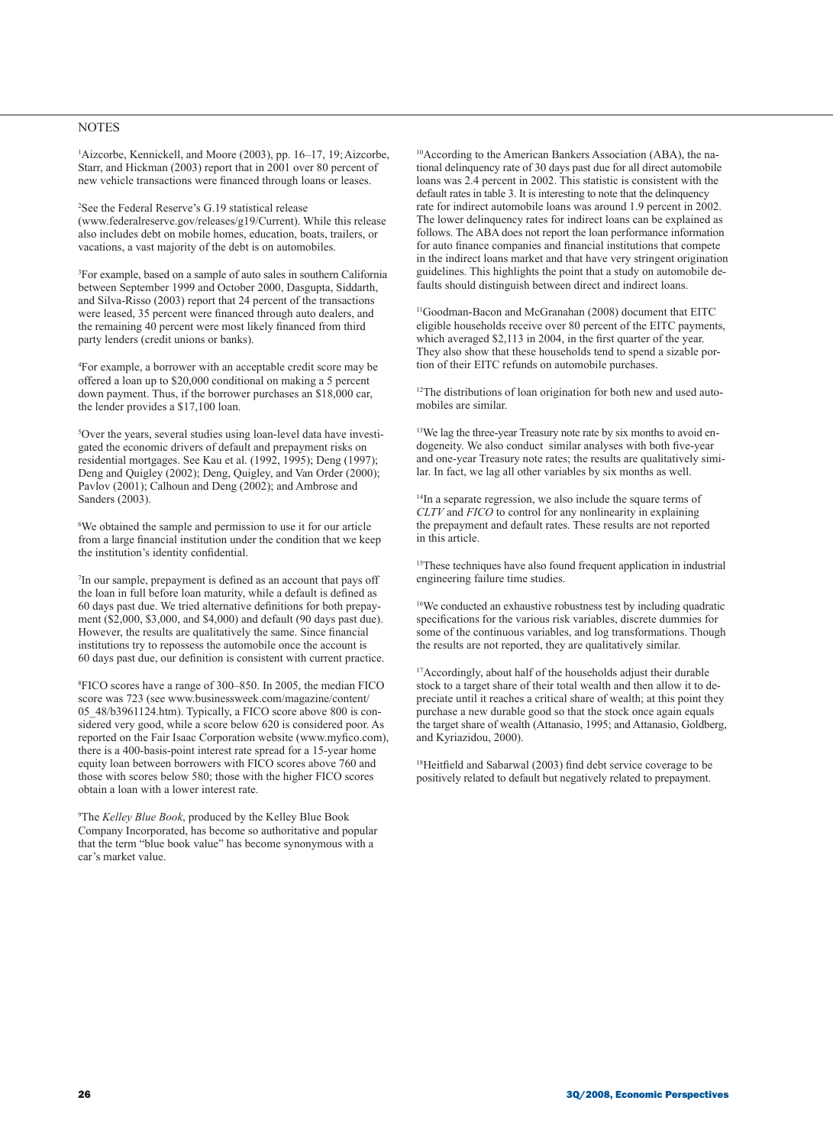### **NOTES**

1 Aizcorbe, Kennickell, and Moore (2003), pp. 16–17, 19;Aizcorbe, Starr, and Hickman (2003) report that in 2001 over 80 percent of new vehicle transactions were financed through loans or leases.

2 See the Federal Reserve's G.19 statistical release (www.federalreserve.gov/releases/g19/Current). While this release also includes debt on mobile homes, education, boats, trailers, or vacations, a vast majority of the debt is on automobiles.

3 For example, based on a sample of auto sales in southern California between September 1999 and October 2000, Dasgupta, Siddarth, and Silva-Risso (2003) report that 24 percent of the transactions were leased, 35 percent were financed through auto dealers, and the remaining 40 percent were most likely financed from third party lenders (credit unions or banks).

4 For example, a borrower with an acceptable credit score may be offered a loan up to \$20,000 conditional on making a 5 percent down payment. Thus, if the borrower purchases an \$18,000 car, the lender provides a \$17,100 loan.

5 Over the years, several studies using loan-level data have investigated the economic drivers of default and prepayment risks on residential mortgages. See Kau et al. (1992, 1995); Deng (1997); Deng and Quigley (2002); Deng, Quigley, and Van Order (2000); Pavlov (2001); Calhoun and Deng (2002); and Ambrose and Sanders (2003).

6 We obtained the sample and permission to use it for our article from a large financial institution under the condition that we keep the institution's identity confidential.

7 In our sample, prepayment is defined as an account that pays off the loan in full before loan maturity, while a default is defined as 60 days past due. We tried alternative definitions for both prepayment (\$2,000, \$3,000, and \$4,000) and default (90 days past due). However, the results are qualitatively the same. Since financial institutions try to repossess the automobile once the account is 60 days past due, our definition is consistent with current practice.

8 FICO scores have a range of 300–850. In 2005, the median FICO score was 723 (see www.businessweek.com/magazine/content/ 05\_48/b3961124.htm). Typically, a FICO score above 800 is considered very good, while a score below 620 is considered poor. As reported on the Fair Isaac Corporation website (www.myfico.com), there is a 400-basis-point interest rate spread for a 15-year home equity loan between borrowers with FICO scores above 760 and those with scores below 580; those with the higher FICO scores obtain a loan with a lower interest rate.

9 The *Kelley Blue Book*, produced by the Kelley Blue Book Company Incorporated, has become so authoritative and popular that the term "blue book value" has become synonymous with a car's market value.

10According to the American Bankers Association (ABA), the national delinquency rate of 30 days past due for all direct automobile loans was 2.4 percent in 2002. This statistic is consistent with the default rates in table 3. It is interesting to note that the delinquency rate for indirect automobile loans was around 1.9 percent in 2002. The lower delinquency rates for indirect loans can be explained as follows. The ABA does not report the loan performance information for auto finance companies and financial institutions that compete in the indirect loans market and that have very stringent origination guidelines. This highlights the point that a study on automobile defaults should distinguish between direct and indirect loans.

<sup>11</sup>Goodman-Bacon and McGranahan (2008) document that EITC eligible households receive over 80 percent of the EITC payments, which averaged \$2,113 in 2004, in the first quarter of the year. They also show that these households tend to spend a sizable portion of their EITC refunds on automobile purchases.

<sup>12</sup>The distributions of loan origination for both new and used automobiles are similar.

<sup>13</sup>We lag the three-year Treasury note rate by six months to avoid endogeneity. We also conduct similar analyses with both five-year and one-year Treasury note rates; the results are qualitatively similar. In fact, we lag all other variables by six months as well.

<sup>14</sup>In a separate regression, we also include the square terms of *CLTV* and *FICO* to control for any nonlinearity in explaining the prepayment and default rates. These results are not reported in this article.

<sup>15</sup>These techniques have also found frequent application in industrial engineering failure time studies.

<sup>16</sup>We conducted an exhaustive robustness test by including quadratic specifications for the various risk variables, discrete dummies for some of the continuous variables, and log transformations. Though the results are not reported, they are qualitatively similar.

<sup>17</sup>Accordingly, about half of the households adjust their durable stock to a target share of their total wealth and then allow it to depreciate until it reaches a critical share of wealth; at this point they purchase a new durable good so that the stock once again equals the target share of wealth (Attanasio, 1995; and Attanasio, Goldberg, and Kyriazidou, 2000).

<sup>18</sup>Heitfield and Sabarwal (2003) find debt service coverage to be positively related to default but negatively related to prepayment.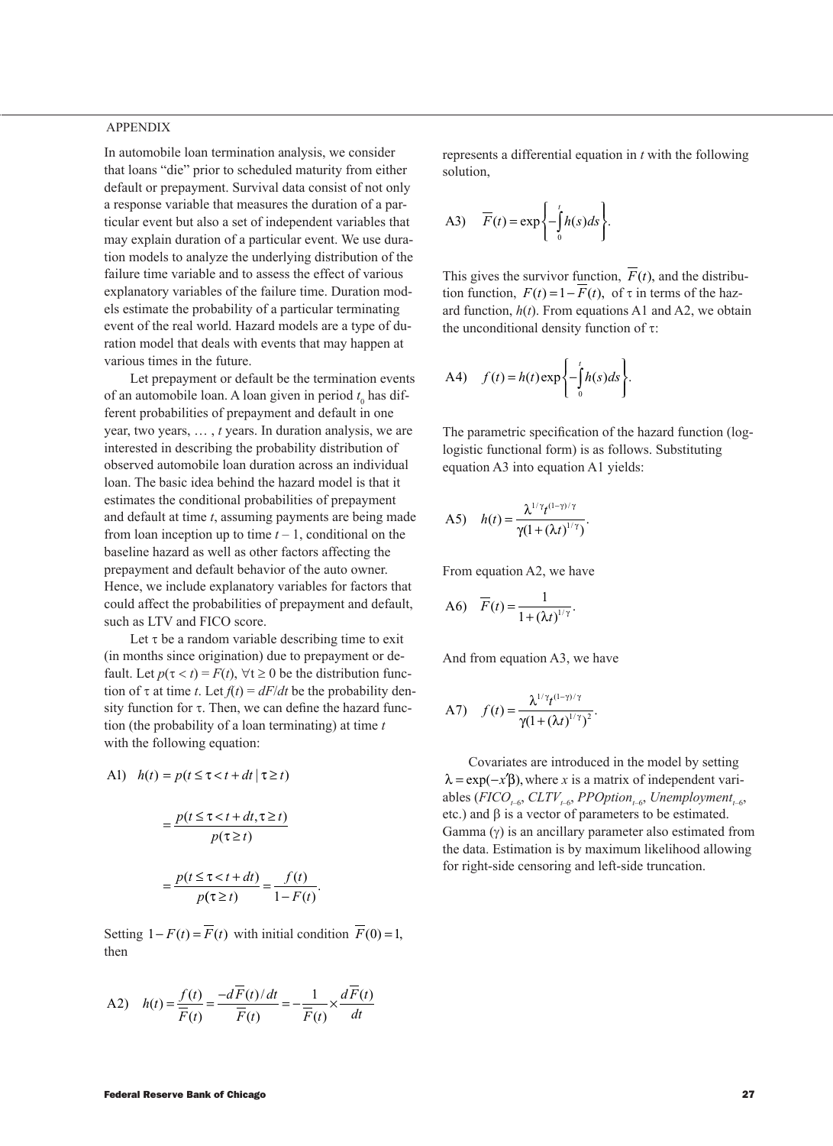### APPENDIX

In automobile loan termination analysis, we consider that loans "die" prior to scheduled maturity from either default or prepayment. Survival data consist of not only a response variable that measures the duration of a particular event but also a set of independent variables that may explain duration of a particular event. We use duration models to analyze the underlying distribution of the failure time variable and to assess the effect of various explanatory variables of the failure time. Duration models estimate the probability of a particular terminating event of the real world. Hazard models are a type of duration model that deals with events that may happen at various times in the future.

Let prepayment or default be the termination events of an automobile loan. A loan given in period  $t_0$  has different probabilities of prepayment and default in one year, two years, … , *t* years. In duration analysis, we are interested in describing the probability distribution of observed automobile loan duration across an individual loan. The basic idea behind the hazard model is that it estimates the conditional probabilities of prepayment and default at time *t*, assuming payments are being made from loan inception up to time  $t - 1$ , conditional on the baseline hazard as well as other factors affecting the prepayment and default behavior of the auto owner. Hence, we include explanatory variables for factors that could affect the probabilities of prepayment and default, such as LTV and FICO score.

Let  $\tau$  be a random variable describing time to exit (in months since origination) due to prepayment or default. Let  $p(\tau < t) = F(t)$ ,  $\forall t \ge 0$  be the distribution function of  $\tau$  at time *t*. Let  $f(t) = dF/dt$  be the probability density function for τ. Then, we can define the hazard function (the probability of a loan terminating) at time *t*  with the following equation:

A1)  $h(t) = p(t \leq \tau < t + dt | \tau \geq t)$ 

$$
= \frac{p(t \le \tau < t + dt, \tau \ge t)}{p(\tau \ge t)}
$$

$$
= \frac{p(t \le \tau < t + dt)}{p(\tau \ge t)} = \frac{f(t)}{1 - F(t)}.
$$

Setting  $1 - F(t) = \overline{F}(t)$  with initial condition  $\overline{F}(0) = 1$ , then

A2) 
$$
h(t) = \frac{f(t)}{\overline{F}(t)} = \frac{-d\overline{F}(t)/dt}{\overline{F}(t)} = -\frac{1}{\overline{F}(t)} \times \frac{d\overline{F}(t)}{dt}
$$

represents a differential equation in *t* with the following solution,

$$
A3)\qquad \overline{F}(t)=\exp{\left\{-\int_{0}^{t}h(s)ds\right\}}.
$$

This gives the survivor function,  $\overline{F}(t)$ , and the distribution function,  $F(t) = 1 - \overline{F}(t)$ , of  $\tau$  in terms of the hazard function, *h*(*t*). From equations A1 and A2, we obtain the unconditional density function of  $\tau$ :

$$
A4) \quad f(t) = h(t) \exp\left\{-\int_0^t h(s)ds\right\}.
$$

The parametric specification of the hazard function (loglogistic functional form) is as follows. Substituting equation A3 into equation A1 yields:

A5) 
$$
h(t) = \frac{\lambda^{1/\gamma} t^{(1-\gamma)/\gamma}}{\gamma (1 + (\lambda t)^{1/\gamma})}.
$$

From equation A2, we have

$$
A6)\quad \overline{F}(t)=\frac{1}{1+(\lambda t)^{1/\gamma}}.
$$

And from equation A3, we have

A7) 
$$
f(t) = \frac{\lambda^{1/\gamma} t^{(1-\gamma)/\gamma}}{\gamma(1+(\lambda t)^{1/\gamma})^2}.
$$

Covariates are introduced in the model by setting  $\lambda = \exp(-x'\beta)$ , where *x* is a matrix of independent variables ( $FICO$ <sub>*t*–6</sub>,  $CLTV$ <sub>*t*–6</sub>,  $PPOption$ <sub>*t*–6</sub>,  $Unemboyment$ <sub>*t*–6</sub>, etc.) and β is a vector of parameters to be estimated. Gamma  $(y)$  is an ancillary parameter also estimated from the data. Estimation is by maximum likelihood allowing for right-side censoring and left-side truncation.